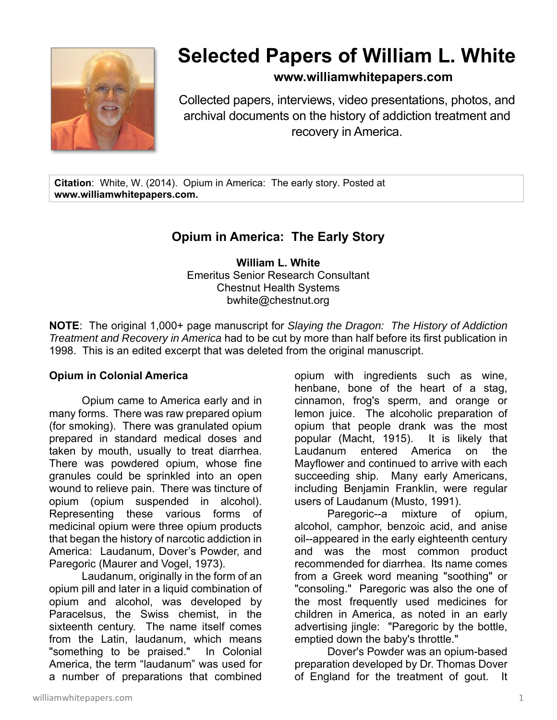

# **Selected Papers of William L. White**

### **www.williamwhitepapers.com**

Collected papers, interviews, video presentations, photos, and archival documents on the history of addiction treatment and recovery in America.

**Citation**: White, W. (2014). Opium in America: The early story. Posted at **www.williamwhitepapers.com.**

## **Opium in America: The Early Story**

**William L. White**  Emeritus Senior Research Consultant Chestnut Health Systems bwhite@chestnut.org

**NOTE**: The original 1,000+ page manuscript for *Slaying the Dragon: The History of Addiction Treatment and Recovery in America* had to be cut by more than half before its first publication in 1998. This is an edited excerpt that was deleted from the original manuscript.

#### **Opium in Colonial America**

Opium came to America early and in many forms. There was raw prepared opium (for smoking). There was granulated opium prepared in standard medical doses and taken by mouth, usually to treat diarrhea. There was powdered opium, whose fine granules could be sprinkled into an open wound to relieve pain. There was tincture of opium (opium suspended in alcohol). Representing these various forms of medicinal opium were three opium products that began the history of narcotic addiction in America: Laudanum, Dover's Powder, and Paregoric (Maurer and Vogel, 1973).

Laudanum, originally in the form of an opium pill and later in a liquid combination of opium and alcohol, was developed by Paracelsus, the Swiss chemist, in the sixteenth century. The name itself comes from the Latin, laudanum, which means "something to be praised." In Colonial America, the term "laudanum" was used for a number of preparations that combined

opium with ingredients such as wine, henbane, bone of the heart of a stag, cinnamon, frog's sperm, and orange or lemon juice. The alcoholic preparation of opium that people drank was the most popular (Macht, 1915). It is likely that Laudanum entered America on the Mayflower and continued to arrive with each succeeding ship. Many early Americans, including Benjamin Franklin, were regular users of Laudanum (Musto, 1991).

Paregoric--a mixture of opium, alcohol, camphor, benzoic acid, and anise oil--appeared in the early eighteenth century and was the most common product recommended for diarrhea. Its name comes from a Greek word meaning "soothing" or "consoling." Paregoric was also the one of the most frequently used medicines for children in America, as noted in an early advertising jingle: "Paregoric by the bottle, emptied down the baby's throttle."

Dover's Powder was an opium-based preparation developed by Dr. Thomas Dover of England for the treatment of gout. It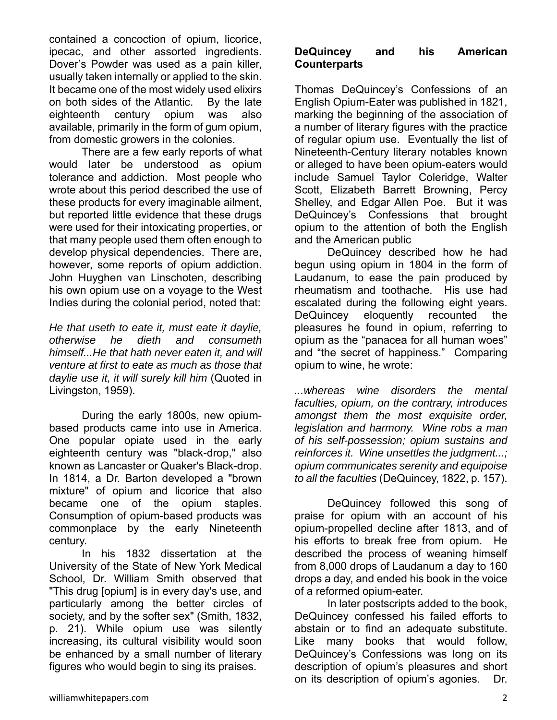contained a concoction of opium, licorice, ipecac, and other assorted ingredients. Dover's Powder was used as a pain killer, usually taken internally or applied to the skin. It became one of the most widely used elixirs on both sides of the Atlantic. By the late eighteenth century opium was also available, primarily in the form of gum opium, from domestic growers in the colonies.

 There are a few early reports of what would later be understood as opium tolerance and addiction. Most people who wrote about this period described the use of these products for every imaginable ailment, but reported little evidence that these drugs were used for their intoxicating properties, or that many people used them often enough to develop physical dependencies. There are, however, some reports of opium addiction. John Huyghen van Linschoten, describing his own opium use on a voyage to the West Indies during the colonial period, noted that:

*He that useth to eate it, must eate it daylie, otherwise he dieth and consumeth himself...He that hath never eaten it, and will venture at first to eate as much as those that daylie use it, it will surely kill him* (Quoted in Livingston, 1959).

During the early 1800s, new opiumbased products came into use in America. One popular opiate used in the early eighteenth century was "black-drop," also known as Lancaster or Quaker's Black-drop. In 1814, a Dr. Barton developed a "brown mixture" of opium and licorice that also became one of the opium staples. Consumption of opium-based products was commonplace by the early Nineteenth century.

In his 1832 dissertation at the University of the State of New York Medical School, Dr. William Smith observed that "This drug [opium] is in every day's use, and particularly among the better circles of society, and by the softer sex" (Smith, 1832, p. 21). While opium use was silently increasing, its cultural visibility would soon be enhanced by a small number of literary figures who would begin to sing its praises.

#### **DeQuincey and his American Counterparts**

Thomas DeQuincey's Confessions of an English Opium-Eater was published in 1821, marking the beginning of the association of a number of literary figures with the practice of regular opium use. Eventually the list of Nineteenth-Century literary notables known or alleged to have been opium-eaters would include Samuel Taylor Coleridge, Walter Scott, Elizabeth Barrett Browning, Percy Shelley, and Edgar Allen Poe. But it was DeQuincey's Confessions that brought opium to the attention of both the English and the American public

DeQuincey described how he had begun using opium in 1804 in the form of Laudanum, to ease the pain produced by rheumatism and toothache. His use had escalated during the following eight years. DeQuincey eloquently recounted the pleasures he found in opium, referring to opium as the "panacea for all human woes" and "the secret of happiness." Comparing opium to wine, he wrote:

*...whereas wine disorders the mental faculties, opium, on the contrary, introduces amongst them the most exquisite order, legislation and harmony. Wine robs a man of his self-possession; opium sustains and reinforces it. Wine unsettles the judgment...; opium communicates serenity and equipoise to all the faculties* (DeQuincey, 1822, p. 157).

DeQuincey followed this song of praise for opium with an account of his opium-propelled decline after 1813, and of his efforts to break free from opium. He described the process of weaning himself from 8,000 drops of Laudanum a day to 160 drops a day, and ended his book in the voice of a reformed opium-eater.

In later postscripts added to the book, DeQuincey confessed his failed efforts to abstain or to find an adequate substitute. Like many books that would follow, DeQuincey's Confessions was long on its description of opium's pleasures and short on its description of opium's agonies. Dr.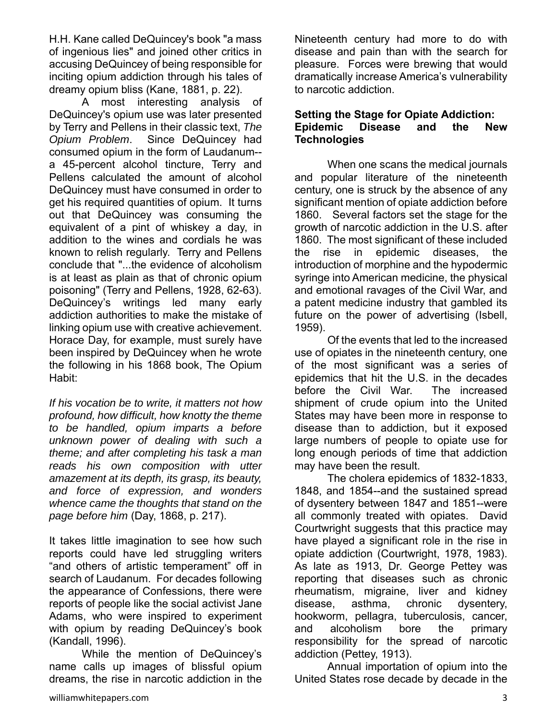H.H. Kane called DeQuincey's book "a mass of ingenious lies" and joined other critics in accusing DeQuincey of being responsible for inciting opium addiction through his tales of dreamy opium bliss (Kane, 1881, p. 22).

A most interesting analysis of DeQuincey's opium use was later presented by Terry and Pellens in their classic text, *The Opium Problem*. Since DeQuincey had consumed opium in the form of Laudanum- a 45-percent alcohol tincture, Terry and Pellens calculated the amount of alcohol DeQuincey must have consumed in order to get his required quantities of opium. It turns out that DeQuincey was consuming the equivalent of a pint of whiskey a day, in addition to the wines and cordials he was known to relish regularly. Terry and Pellens conclude that "...the evidence of alcoholism is at least as plain as that of chronic opium poisoning" (Terry and Pellens, 1928, 62-63). DeQuincey's writings led many early addiction authorities to make the mistake of linking opium use with creative achievement. Horace Day, for example, must surely have been inspired by DeQuincey when he wrote the following in his 1868 book, The Opium Habit:

*If his vocation be to write, it matters not how profound, how difficult, how knotty the theme to be handled, opium imparts a before unknown power of dealing with such a theme; and after completing his task a man reads his own composition with utter amazement at its depth, its grasp, its beauty, and force of expression, and wonders whence came the thoughts that stand on the page before him* (Day, 1868, p. 217).

It takes little imagination to see how such reports could have led struggling writers "and others of artistic temperament" off in search of Laudanum. For decades following the appearance of Confessions, there were reports of people like the social activist Jane Adams, who were inspired to experiment with opium by reading DeQuincey's book (Kandall, 1996).

While the mention of DeQuincey's name calls up images of blissful opium dreams, the rise in narcotic addiction in the

Nineteenth century had more to do with disease and pain than with the search for pleasure. Forces were brewing that would dramatically increase America's vulnerability to narcotic addiction.

#### **Setting the Stage for Opiate Addiction: Epidemic Disease and the New Technologies**

When one scans the medical journals and popular literature of the nineteenth century, one is struck by the absence of any significant mention of opiate addiction before 1860. Several factors set the stage for the growth of narcotic addiction in the U.S. after 1860. The most significant of these included the rise in epidemic diseases, the introduction of morphine and the hypodermic syringe into American medicine, the physical and emotional ravages of the Civil War, and a patent medicine industry that gambled its future on the power of advertising (Isbell, 1959).

Of the events that led to the increased use of opiates in the nineteenth century, one of the most significant was a series of epidemics that hit the U.S. in the decades before the Civil War. The increased shipment of crude opium into the United States may have been more in response to disease than to addiction, but it exposed large numbers of people to opiate use for long enough periods of time that addiction may have been the result.

The cholera epidemics of 1832-1833, 1848, and 1854--and the sustained spread of dysentery between 1847 and 1851--were all commonly treated with opiates. David Courtwright suggests that this practice may have played a significant role in the rise in opiate addiction (Courtwright, 1978, 1983). As late as 1913, Dr. George Pettey was reporting that diseases such as chronic rheumatism, migraine, liver and kidney disease, asthma, chronic dysentery, hookworm, pellagra, tuberculosis, cancer, and alcoholism bore the primary responsibility for the spread of narcotic addiction (Pettey, 1913).

Annual importation of opium into the United States rose decade by decade in the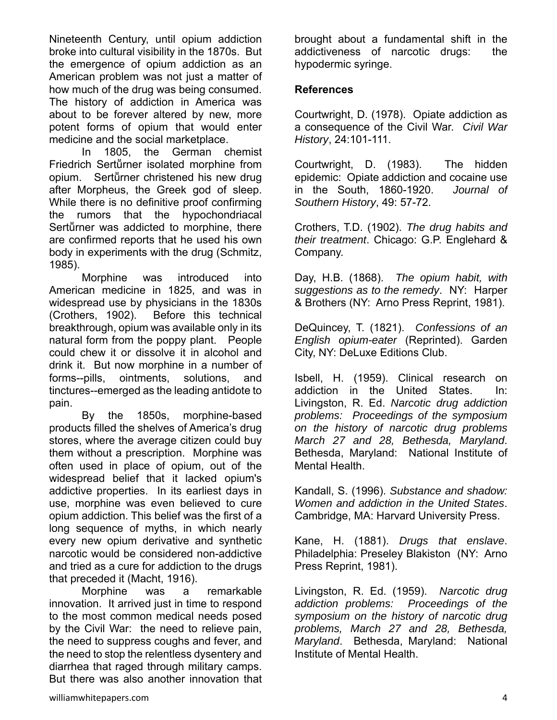Nineteenth Century, until opium addiction broke into cultural visibility in the 1870s. But the emergence of opium addiction as an American problem was not just a matter of how much of the drug was being consumed. The history of addiction in America was about to be forever altered by new, more potent forms of opium that would enter medicine and the social marketplace.

 In 1805, the German chemist Friedrich Sertürner isolated morphine from opium. Sertürner christened his new drug after Morpheus, the Greek god of sleep. While there is no definitive proof confirming the rumors that the hypochondriacal Sertürner was addicted to morphine, there are confirmed reports that he used his own body in experiments with the drug (Schmitz, 1985).

Morphine was introduced into American medicine in 1825, and was in widespread use by physicians in the 1830s (Crothers, 1902). Before this technical breakthrough, opium was available only in its natural form from the poppy plant. People could chew it or dissolve it in alcohol and drink it. But now morphine in a number of forms--pills, ointments, solutions, and tinctures--emerged as the leading antidote to pain.

By the 1850s, morphine-based products filled the shelves of America's drug stores, where the average citizen could buy them without a prescription. Morphine was often used in place of opium, out of the widespread belief that it lacked opium's addictive properties. In its earliest days in use, morphine was even believed to cure opium addiction. This belief was the first of a long sequence of myths, in which nearly every new opium derivative and synthetic narcotic would be considered non-addictive and tried as a cure for addiction to the drugs that preceded it (Macht, 1916).

Morphine was a remarkable innovation. It arrived just in time to respond to the most common medical needs posed by the Civil War: the need to relieve pain, the need to suppress coughs and fever, and the need to stop the relentless dysentery and diarrhea that raged through military camps. But there was also another innovation that brought about a fundamental shift in the addictiveness of narcotic drugs: the hypodermic syringe.

#### **References**

Courtwright, D. (1978). Opiate addiction as a consequence of the Civil War. *Civil War History*, 24:101-111.

Courtwright, D. (1983). The hidden epidemic: Opiate addiction and cocaine use in the South, 1860-1920. *Journal of Southern History*, 49: 57-72.

Crothers, T.D. (1902). *The drug habits and their treatment*. Chicago: G.P. Englehard & Company.

Day, H.B. (1868). *The opium habit, with suggestions as to the remedy*. NY: Harper & Brothers (NY: Arno Press Reprint, 1981).

DeQuincey, T. (1821). *Confessions of an English opium-eater* (Reprinted). Garden City, NY: DeLuxe Editions Club.

Isbell, H. (1959). Clinical research on addiction in the United States. In: Livingston, R. Ed. *Narcotic drug addiction problems: Proceedings of the symposium on the history of narcotic drug problems March 27 and 28, Bethesda, Maryland*. Bethesda, Maryland: National Institute of Mental Health.

Kandall, S. (1996). *Substance and shadow: Women and addiction in the United States*. Cambridge, MA: Harvard University Press.

Kane, H. (1881). *Drugs that enslave*. Philadelphia: Preseley Blakiston (NY: Arno Press Reprint, 1981).

Livingston, R. Ed. (1959). *Narcotic drug addiction problems: Proceedings of the symposium on the history of narcotic drug problems, March 27 and 28, Bethesda, Maryland*. Bethesda, Maryland: National Institute of Mental Health.